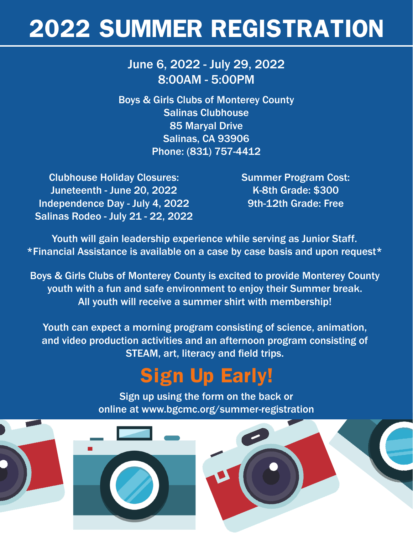# **2022 SUMMER REGISTRATION**

## June 6, 2022 - July 29, 2022 8:00AM - 5:00PM

Boys & Girls Clubs of Monterey County Salinas Clubhouse 85 Maryal Drive Salinas, CA 93906 Phone: (831) 757-4412

Clubhouse Holiday Closures: Juneteenth - June 20, 2022 Independence Day - July 4, 2022 Salinas Rodeo - July 21 - 22, 2022 Summer Program Cost: K-8th Grade: \$300 9th-12th Grade: Free

Youth will gain leadership experience while serving as Junior Staff. \*Financial Assistance is available on a case by case basis and upon request\*

Boys & Girls Clubs of Monterey County is excited to provide Monterey County youth with a fun and safe environment to enjoy their Summer break. All youth will receive a summer shirt with membership!

Youth can expect a morning program consisting of science, animation, and video production activities and an afternoon program consisting of STEAM, art, literacy and field trips.

# **Sign Up Early!**

Sign up using the form on the back or online at www.bgcmc.org/summer-registration